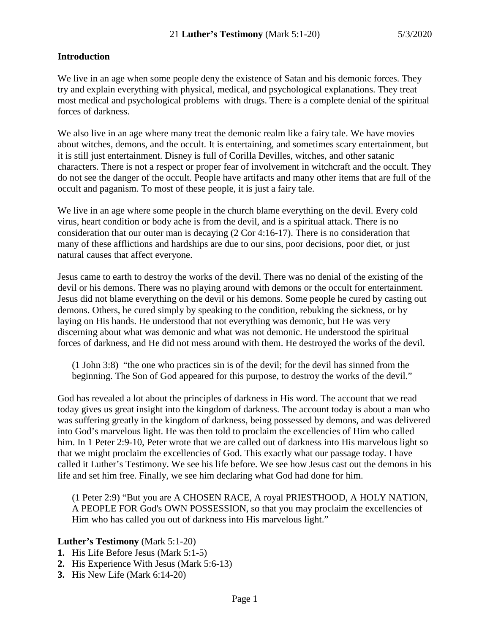## **Introduction**

We live in an age when some people deny the existence of Satan and his demonic forces. They try and explain everything with physical, medical, and psychological explanations. They treat most medical and psychological problems with drugs. There is a complete denial of the spiritual forces of darkness.

We also live in an age where many treat the demonic realm like a fairy tale. We have movies about witches, demons, and the occult. It is entertaining, and sometimes scary entertainment, but it is still just entertainment. Disney is full of Corilla Devilles, witches, and other satanic characters. There is not a respect or proper fear of involvement in witchcraft and the occult. They do not see the danger of the occult. People have artifacts and many other items that are full of the occult and paganism. To most of these people, it is just a fairy tale.

We live in an age where some people in the church blame everything on the devil. Every cold virus, heart condition or body ache is from the devil, and is a spiritual attack. There is no consideration that our outer man is decaying (2 Cor 4:16-17). There is no consideration that many of these afflictions and hardships are due to our sins, poor decisions, poor diet, or just natural causes that affect everyone.

Jesus came to earth to destroy the works of the devil. There was no denial of the existing of the devil or his demons. There was no playing around with demons or the occult for entertainment. Jesus did not blame everything on the devil or his demons. Some people he cured by casting out demons. Others, he cured simply by speaking to the condition, rebuking the sickness, or by laying on His hands. He understood that not everything was demonic, but He was very discerning about what was demonic and what was not demonic. He understood the spiritual forces of darkness, and He did not mess around with them. He destroyed the works of the devil.

(1 John 3:8) "the one who practices sin is of the devil; for the devil has sinned from the beginning. The Son of God appeared for this purpose, to destroy the works of the devil."

God has revealed a lot about the principles of darkness in His word. The account that we read today gives us great insight into the kingdom of darkness. The account today is about a man who was suffering greatly in the kingdom of darkness, being possessed by demons, and was delivered into God's marvelous light. He was then told to proclaim the excellencies of Him who called him. In 1 Peter 2:9-10, Peter wrote that we are called out of darkness into His marvelous light so that we might proclaim the excellencies of God. This exactly what our passage today. I have called it Luther's Testimony. We see his life before. We see how Jesus cast out the demons in his life and set him free. Finally, we see him declaring what God had done for him.

(1 Peter 2:9) "But you are A CHOSEN RACE, A royal PRIESTHOOD, A HOLY NATION, A PEOPLE FOR God's OWN POSSESSION, so that you may proclaim the excellencies of Him who has called you out of darkness into His marvelous light."

### **Luther's Testimony** (Mark 5:1-20)

- **1.** His Life Before Jesus (Mark 5:1-5)
- **2.** His Experience With Jesus (Mark 5:6-13)
- **3.** His New Life (Mark 6:14-20)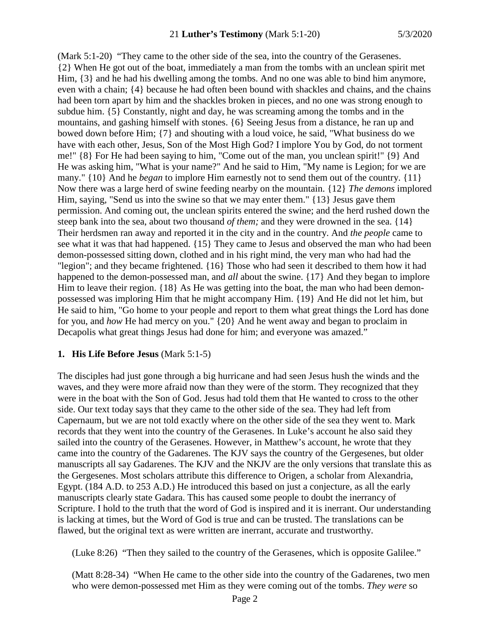(Mark 5:1-20) "They came to the other side of the sea, into the country of the Gerasenes. {2} When He got out of the boat, immediately a man from the tombs with an unclean spirit met Him, {3} and he had his dwelling among the tombs. And no one was able to bind him anymore, even with a chain; {4} because he had often been bound with shackles and chains, and the chains had been torn apart by him and the shackles broken in pieces, and no one was strong enough to subdue him. {5} Constantly, night and day, he was screaming among the tombs and in the mountains, and gashing himself with stones. {6} Seeing Jesus from a distance, he ran up and bowed down before Him; {7} and shouting with a loud voice, he said, "What business do we have with each other, Jesus, Son of the Most High God? I implore You by God, do not torment me!" {8} For He had been saying to him, "Come out of the man, you unclean spirit!" {9} And He was asking him, "What is your name?" And he said to Him, "My name is Legion; for we are many." {10} And he *began* to implore Him earnestly not to send them out of the country. {11} Now there was a large herd of swine feeding nearby on the mountain. {12} *The demons* implored Him, saying, "Send us into the swine so that we may enter them." {13} Jesus gave them permission. And coming out, the unclean spirits entered the swine; and the herd rushed down the steep bank into the sea, about two thousand *of them;* and they were drowned in the sea. {14} Their herdsmen ran away and reported it in the city and in the country. And *the people* came to see what it was that had happened. {15} They came to Jesus and observed the man who had been demon-possessed sitting down, clothed and in his right mind, the very man who had had the "legion"; and they became frightened. {16} Those who had seen it described to them how it had happened to the demon-possessed man, and *all* about the swine. {17} And they began to implore Him to leave their region. {18} As He was getting into the boat, the man who had been demonpossessed was imploring Him that he might accompany Him. {19} And He did not let him, but He said to him, "Go home to your people and report to them what great things the Lord has done for you, and *how* He had mercy on you." {20} And he went away and began to proclaim in Decapolis what great things Jesus had done for him; and everyone was amazed."

### **1. His Life Before Jesus** (Mark 5:1-5)

The disciples had just gone through a big hurricane and had seen Jesus hush the winds and the waves, and they were more afraid now than they were of the storm. They recognized that they were in the boat with the Son of God. Jesus had told them that He wanted to cross to the other side. Our text today says that they came to the other side of the sea. They had left from Capernaum, but we are not told exactly where on the other side of the sea they went to. Mark records that they went into the country of the Gerasenes. In Luke's account he also said they sailed into the country of the Gerasenes. However, in Matthew's account, he wrote that they came into the country of the Gadarenes. The KJV says the country of the Gergesenes, but older manuscripts all say Gadarenes. The KJV and the NKJV are the only versions that translate this as the Gergesenes. Most scholars attribute this difference to Origen, a scholar from Alexandria, Egypt. (184 A.D. to 253 A.D.) He introduced this based on just a conjecture, as all the early manuscripts clearly state Gadara. This has caused some people to doubt the inerrancy of Scripture. I hold to the truth that the word of God is inspired and it is inerrant. Our understanding is lacking at times, but the Word of God is true and can be trusted. The translations can be flawed, but the original text as were written are inerrant, accurate and trustworthy.

(Luke 8:26) "Then they sailed to the country of the Gerasenes, which is opposite Galilee."

(Matt 8:28-34) "When He came to the other side into the country of the Gadarenes, two men who were demon-possessed met Him as they were coming out of the tombs. *They were* so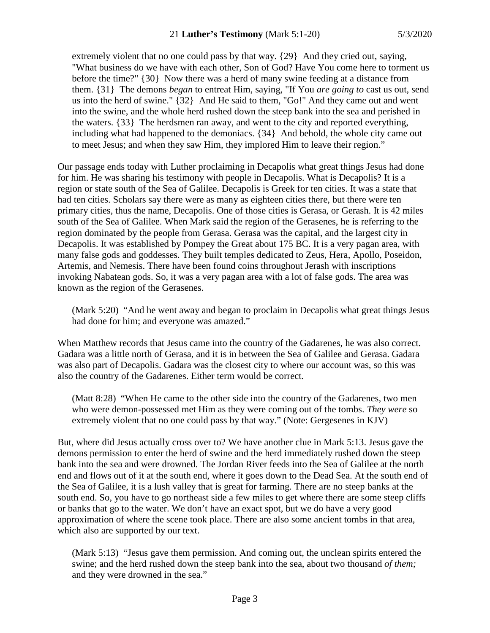extremely violent that no one could pass by that way. {29} And they cried out, saying, "What business do we have with each other, Son of God? Have You come here to torment us before the time?" {30} Now there was a herd of many swine feeding at a distance from them. {31} The demons *began* to entreat Him, saying, "If You *are going to* cast us out, send us into the herd of swine." {32} And He said to them, "Go!" And they came out and went into the swine, and the whole herd rushed down the steep bank into the sea and perished in the waters. {33} The herdsmen ran away, and went to the city and reported everything, including what had happened to the demoniacs. {34} And behold, the whole city came out to meet Jesus; and when they saw Him, they implored Him to leave their region."

Our passage ends today with Luther proclaiming in Decapolis what great things Jesus had done for him. He was sharing his testimony with people in Decapolis. What is Decapolis? It is a region or state south of the Sea of Galilee. Decapolis is Greek for ten cities. It was a state that had ten cities. Scholars say there were as many as eighteen cities there, but there were ten primary cities, thus the name, Decapolis. One of those cities is Gerasa, or Gerash. It is 42 miles south of the Sea of Galilee. When Mark said the region of the Gerasenes, he is referring to the region dominated by the people from Gerasa. Gerasa was the capital, and the largest city in Decapolis. It was established by Pompey the Great about 175 BC. It is a very pagan area, with many false gods and goddesses. They built temples dedicated to Zeus, Hera, Apollo, Poseidon, Artemis, and Nemesis. There have been found coins throughout Jerash with inscriptions invoking Nabatean gods. So, it was a very pagan area with a lot of false gods. The area was known as the region of the Gerasenes.

(Mark 5:20) "And he went away and began to proclaim in Decapolis what great things Jesus had done for him; and everyone was amazed."

When Matthew records that Jesus came into the country of the Gadarenes, he was also correct. Gadara was a little north of Gerasa, and it is in between the Sea of Galilee and Gerasa. Gadara was also part of Decapolis. Gadara was the closest city to where our account was, so this was also the country of the Gadarenes. Either term would be correct.

(Matt 8:28) "When He came to the other side into the country of the Gadarenes, two men who were demon-possessed met Him as they were coming out of the tombs. *They were* so extremely violent that no one could pass by that way." (Note: Gergesenes in KJV)

But, where did Jesus actually cross over to? We have another clue in Mark 5:13. Jesus gave the demons permission to enter the herd of swine and the herd immediately rushed down the steep bank into the sea and were drowned. The Jordan River feeds into the Sea of Galilee at the north end and flows out of it at the south end, where it goes down to the Dead Sea. At the south end of the Sea of Galilee, it is a lush valley that is great for farming. There are no steep banks at the south end. So, you have to go northeast side a few miles to get where there are some steep cliffs or banks that go to the water. We don't have an exact spot, but we do have a very good approximation of where the scene took place. There are also some ancient tombs in that area, which also are supported by our text.

(Mark 5:13) "Jesus gave them permission. And coming out, the unclean spirits entered the swine; and the herd rushed down the steep bank into the sea, about two thousand *of them;* and they were drowned in the sea."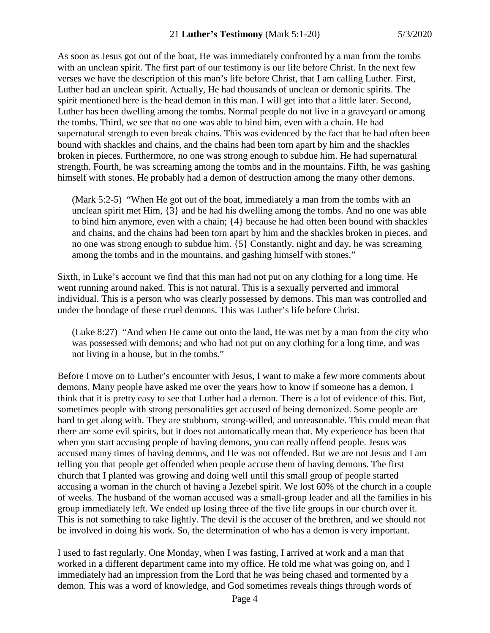As soon as Jesus got out of the boat, He was immediately confronted by a man from the tombs with an unclean spirit. The first part of our testimony is our life before Christ. In the next few verses we have the description of this man's life before Christ, that I am calling Luther. First, Luther had an unclean spirit. Actually, He had thousands of unclean or demonic spirits. The spirit mentioned here is the head demon in this man. I will get into that a little later. Second, Luther has been dwelling among the tombs. Normal people do not live in a graveyard or among the tombs. Third, we see that no one was able to bind him, even with a chain. He had supernatural strength to even break chains. This was evidenced by the fact that he had often been bound with shackles and chains, and the chains had been torn apart by him and the shackles broken in pieces. Furthermore, no one was strong enough to subdue him. He had supernatural strength. Fourth, he was screaming among the tombs and in the mountains. Fifth, he was gashing himself with stones. He probably had a demon of destruction among the many other demons.

(Mark 5:2-5) "When He got out of the boat, immediately a man from the tombs with an unclean spirit met Him, {3} and he had his dwelling among the tombs. And no one was able to bind him anymore, even with a chain; {4} because he had often been bound with shackles and chains, and the chains had been torn apart by him and the shackles broken in pieces, and no one was strong enough to subdue him. {5} Constantly, night and day, he was screaming among the tombs and in the mountains, and gashing himself with stones."

Sixth, in Luke's account we find that this man had not put on any clothing for a long time. He went running around naked. This is not natural. This is a sexually perverted and immoral individual. This is a person who was clearly possessed by demons. This man was controlled and under the bondage of these cruel demons. This was Luther's life before Christ.

(Luke 8:27) "And when He came out onto the land, He was met by a man from the city who was possessed with demons; and who had not put on any clothing for a long time, and was not living in a house, but in the tombs."

Before I move on to Luther's encounter with Jesus, I want to make a few more comments about demons. Many people have asked me over the years how to know if someone has a demon. I think that it is pretty easy to see that Luther had a demon. There is a lot of evidence of this. But, sometimes people with strong personalities get accused of being demonized. Some people are hard to get along with. They are stubborn, strong-willed, and unreasonable. This could mean that there are some evil spirits, but it does not automatically mean that. My experience has been that when you start accusing people of having demons, you can really offend people. Jesus was accused many times of having demons, and He was not offended. But we are not Jesus and I am telling you that people get offended when people accuse them of having demons. The first church that I planted was growing and doing well until this small group of people started accusing a woman in the church of having a Jezebel spirit. We lost 60% of the church in a couple of weeks. The husband of the woman accused was a small-group leader and all the families in his group immediately left. We ended up losing three of the five life groups in our church over it. This is not something to take lightly. The devil is the accuser of the brethren, and we should not be involved in doing his work. So, the determination of who has a demon is very important.

I used to fast regularly. One Monday, when I was fasting, I arrived at work and a man that worked in a different department came into my office. He told me what was going on, and I immediately had an impression from the Lord that he was being chased and tormented by a demon. This was a word of knowledge, and God sometimes reveals things through words of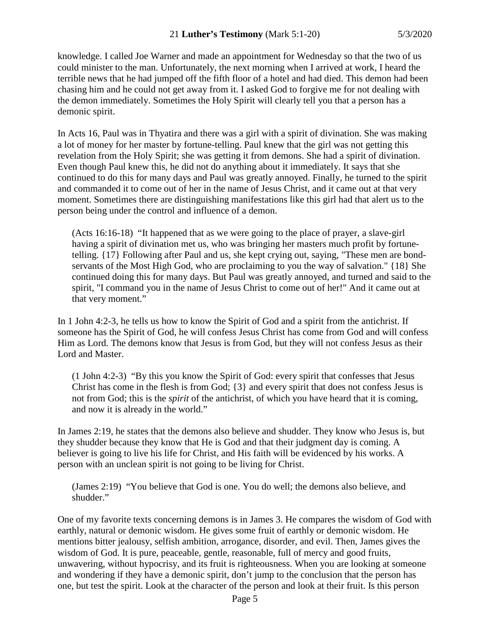knowledge. I called Joe Warner and made an appointment for Wednesday so that the two of us could minister to the man. Unfortunately, the next morning when I arrived at work, I heard the terrible news that he had jumped off the fifth floor of a hotel and had died. This demon had been chasing him and he could not get away from it. I asked God to forgive me for not dealing with the demon immediately. Sometimes the Holy Spirit will clearly tell you that a person has a demonic spirit.

In Acts 16, Paul was in Thyatira and there was a girl with a spirit of divination. She was making a lot of money for her master by fortune-telling. Paul knew that the girl was not getting this revelation from the Holy Spirit; she was getting it from demons. She had a spirit of divination. Even though Paul knew this, he did not do anything about it immediately. It says that she continued to do this for many days and Paul was greatly annoyed. Finally, he turned to the spirit and commanded it to come out of her in the name of Jesus Christ, and it came out at that very moment. Sometimes there are distinguishing manifestations like this girl had that alert us to the person being under the control and influence of a demon.

(Acts 16:16-18) "It happened that as we were going to the place of prayer, a slave-girl having a spirit of divination met us, who was bringing her masters much profit by fortunetelling. {17} Following after Paul and us, she kept crying out, saying, "These men are bondservants of the Most High God, who are proclaiming to you the way of salvation." {18} She continued doing this for many days. But Paul was greatly annoyed, and turned and said to the spirit, "I command you in the name of Jesus Christ to come out of her!" And it came out at that very moment."

In 1 John 4:2-3, he tells us how to know the Spirit of God and a spirit from the antichrist. If someone has the Spirit of God, he will confess Jesus Christ has come from God and will confess Him as Lord. The demons know that Jesus is from God, but they will not confess Jesus as their Lord and Master.

(1 John 4:2-3) "By this you know the Spirit of God: every spirit that confesses that Jesus Christ has come in the flesh is from God; {3} and every spirit that does not confess Jesus is not from God; this is the *spirit* of the antichrist, of which you have heard that it is coming, and now it is already in the world."

In James 2:19, he states that the demons also believe and shudder. They know who Jesus is, but they shudder because they know that He is God and that their judgment day is coming. A believer is going to live his life for Christ, and His faith will be evidenced by his works. A person with an unclean spirit is not going to be living for Christ.

(James 2:19) "You believe that God is one. You do well; the demons also believe, and shudder."

One of my favorite texts concerning demons is in James 3. He compares the wisdom of God with earthly, natural or demonic wisdom. He gives some fruit of earthly or demonic wisdom. He mentions bitter jealousy, selfish ambition, arrogance, disorder, and evil. Then, James gives the wisdom of God. It is pure, peaceable, gentle, reasonable, full of mercy and good fruits, unwavering, without hypocrisy, and its fruit is righteousness. When you are looking at someone and wondering if they have a demonic spirit, don't jump to the conclusion that the person has one, but test the spirit. Look at the character of the person and look at their fruit. Is this person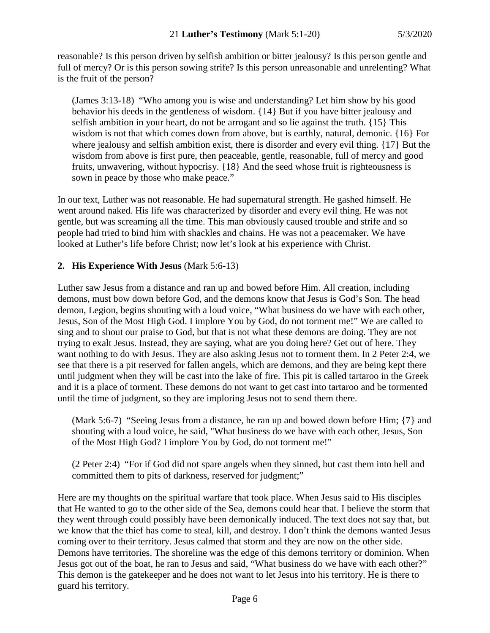reasonable? Is this person driven by selfish ambition or bitter jealousy? Is this person gentle and full of mercy? Or is this person sowing strife? Is this person unreasonable and unrelenting? What is the fruit of the person?

(James 3:13-18) "Who among you is wise and understanding? Let him show by his good behavior his deeds in the gentleness of wisdom. {14} But if you have bitter jealousy and selfish ambition in your heart, do not be arrogant and so lie against the truth. {15} This wisdom is not that which comes down from above, but is earthly, natural, demonic. {16} For where jealousy and selfish ambition exist, there is disorder and every evil thing. {17} But the wisdom from above is first pure, then peaceable, gentle, reasonable, full of mercy and good fruits, unwavering, without hypocrisy. {18} And the seed whose fruit is righteousness is sown in peace by those who make peace."

In our text, Luther was not reasonable. He had supernatural strength. He gashed himself. He went around naked. His life was characterized by disorder and every evil thing. He was not gentle, but was screaming all the time. This man obviously caused trouble and strife and so people had tried to bind him with shackles and chains. He was not a peacemaker. We have looked at Luther's life before Christ; now let's look at his experience with Christ.

# **2. His Experience With Jesus** (Mark 5:6-13)

Luther saw Jesus from a distance and ran up and bowed before Him. All creation, including demons, must bow down before God, and the demons know that Jesus is God's Son. The head demon, Legion, begins shouting with a loud voice, "What business do we have with each other, Jesus, Son of the Most High God. I implore You by God, do not torment me!" We are called to sing and to shout our praise to God, but that is not what these demons are doing. They are not trying to exalt Jesus. Instead, they are saying, what are you doing here? Get out of here. They want nothing to do with Jesus. They are also asking Jesus not to torment them. In 2 Peter 2:4, we see that there is a pit reserved for fallen angels, which are demons, and they are being kept there until judgment when they will be cast into the lake of fire. This pit is called tartaroo in the Greek and it is a place of torment. These demons do not want to get cast into tartaroo and be tormented until the time of judgment, so they are imploring Jesus not to send them there.

(Mark 5:6-7) "Seeing Jesus from a distance, he ran up and bowed down before Him; {7} and shouting with a loud voice, he said, "What business do we have with each other, Jesus, Son of the Most High God? I implore You by God, do not torment me!"

(2 Peter 2:4) "For if God did not spare angels when they sinned, but cast them into hell and committed them to pits of darkness, reserved for judgment;"

Here are my thoughts on the spiritual warfare that took place. When Jesus said to His disciples that He wanted to go to the other side of the Sea, demons could hear that. I believe the storm that they went through could possibly have been demonically induced. The text does not say that, but we know that the thief has come to steal, kill, and destroy. I don't think the demons wanted Jesus coming over to their territory. Jesus calmed that storm and they are now on the other side. Demons have territories. The shoreline was the edge of this demons territory or dominion. When Jesus got out of the boat, he ran to Jesus and said, "What business do we have with each other?" This demon is the gatekeeper and he does not want to let Jesus into his territory. He is there to guard his territory.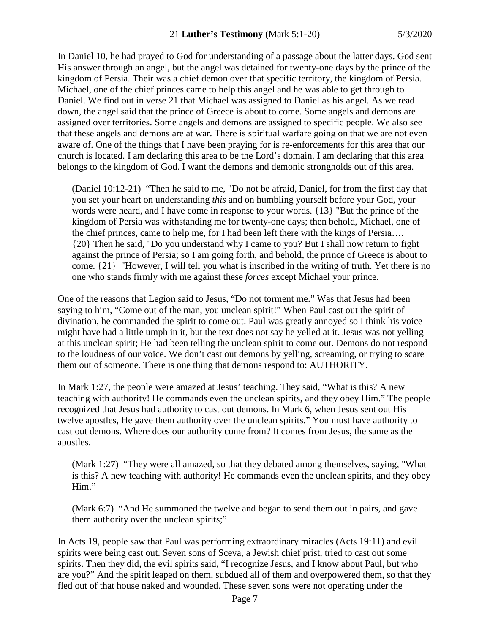In Daniel 10, he had prayed to God for understanding of a passage about the latter days. God sent His answer through an angel, but the angel was detained for twenty-one days by the prince of the kingdom of Persia. Their was a chief demon over that specific territory, the kingdom of Persia. Michael, one of the chief princes came to help this angel and he was able to get through to Daniel. We find out in verse 21 that Michael was assigned to Daniel as his angel. As we read down, the angel said that the prince of Greece is about to come. Some angels and demons are assigned over territories. Some angels and demons are assigned to specific people. We also see that these angels and demons are at war. There is spiritual warfare going on that we are not even aware of. One of the things that I have been praying for is re-enforcements for this area that our church is located. I am declaring this area to be the Lord's domain. I am declaring that this area belongs to the kingdom of God. I want the demons and demonic strongholds out of this area.

(Daniel 10:12-21) "Then he said to me, "Do not be afraid, Daniel, for from the first day that you set your heart on understanding *this* and on humbling yourself before your God, your words were heard, and I have come in response to your words. {13} "But the prince of the kingdom of Persia was withstanding me for twenty-one days; then behold, Michael, one of the chief princes, came to help me, for I had been left there with the kings of Persia…. {20} Then he said, "Do you understand why I came to you? But I shall now return to fight against the prince of Persia; so I am going forth, and behold, the prince of Greece is about to come. {21} "However, I will tell you what is inscribed in the writing of truth. Yet there is no one who stands firmly with me against these *forces* except Michael your prince.

One of the reasons that Legion said to Jesus, "Do not torment me." Was that Jesus had been saying to him, "Come out of the man, you unclean spirit!" When Paul cast out the spirit of divination, he commanded the spirit to come out. Paul was greatly annoyed so I think his voice might have had a little umph in it, but the text does not say he yelled at it. Jesus was not yelling at this unclean spirit; He had been telling the unclean spirit to come out. Demons do not respond to the loudness of our voice. We don't cast out demons by yelling, screaming, or trying to scare them out of someone. There is one thing that demons respond to: AUTHORITY.

In Mark 1:27, the people were amazed at Jesus' teaching. They said, "What is this? A new teaching with authority! He commands even the unclean spirits, and they obey Him." The people recognized that Jesus had authority to cast out demons. In Mark 6, when Jesus sent out His twelve apostles, He gave them authority over the unclean spirits." You must have authority to cast out demons. Where does our authority come from? It comes from Jesus, the same as the apostles.

(Mark 1:27) "They were all amazed, so that they debated among themselves, saying, "What is this? A new teaching with authority! He commands even the unclean spirits, and they obey Him."

(Mark 6:7) "And He summoned the twelve and began to send them out in pairs, and gave them authority over the unclean spirits;"

In Acts 19, people saw that Paul was performing extraordinary miracles (Acts 19:11) and evil spirits were being cast out. Seven sons of Sceva, a Jewish chief prist, tried to cast out some spirits. Then they did, the evil spirits said, "I recognize Jesus, and I know about Paul, but who are you?" And the spirit leaped on them, subdued all of them and overpowered them, so that they fled out of that house naked and wounded. These seven sons were not operating under the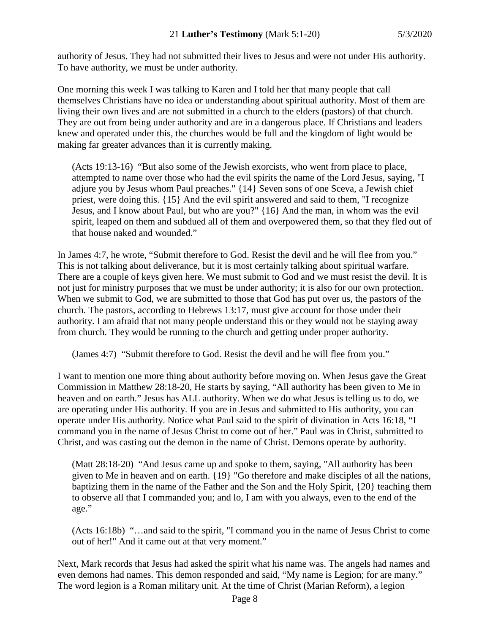authority of Jesus. They had not submitted their lives to Jesus and were not under His authority. To have authority, we must be under authority.

One morning this week I was talking to Karen and I told her that many people that call themselves Christians have no idea or understanding about spiritual authority. Most of them are living their own lives and are not submitted in a church to the elders (pastors) of that church. They are out from being under authority and are in a dangerous place. If Christians and leaders knew and operated under this, the churches would be full and the kingdom of light would be making far greater advances than it is currently making.

(Acts 19:13-16) "But also some of the Jewish exorcists, who went from place to place, attempted to name over those who had the evil spirits the name of the Lord Jesus, saying, "I adjure you by Jesus whom Paul preaches." {14} Seven sons of one Sceva, a Jewish chief priest, were doing this. {15} And the evil spirit answered and said to them, "I recognize Jesus, and I know about Paul, but who are you?" {16} And the man, in whom was the evil spirit, leaped on them and subdued all of them and overpowered them, so that they fled out of that house naked and wounded."

In James 4:7, he wrote, "Submit therefore to God. Resist the devil and he will flee from you." This is not talking about deliverance, but it is most certainly talking about spiritual warfare. There are a couple of keys given here. We must submit to God and we must resist the devil. It is not just for ministry purposes that we must be under authority; it is also for our own protection. When we submit to God, we are submitted to those that God has put over us, the pastors of the church. The pastors, according to Hebrews 13:17, must give account for those under their authority. I am afraid that not many people understand this or they would not be staying away from church. They would be running to the church and getting under proper authority.

(James 4:7) "Submit therefore to God. Resist the devil and he will flee from you."

I want to mention one more thing about authority before moving on. When Jesus gave the Great Commission in Matthew 28:18-20, He starts by saying, "All authority has been given to Me in heaven and on earth." Jesus has ALL authority. When we do what Jesus is telling us to do, we are operating under His authority. If you are in Jesus and submitted to His authority, you can operate under His authority. Notice what Paul said to the spirit of divination in Acts 16:18, "I command you in the name of Jesus Christ to come out of her." Paul was in Christ, submitted to Christ, and was casting out the demon in the name of Christ. Demons operate by authority.

(Matt 28:18-20) "And Jesus came up and spoke to them, saying, "All authority has been given to Me in heaven and on earth. {19} "Go therefore and make disciples of all the nations, baptizing them in the name of the Father and the Son and the Holy Spirit, {20} teaching them to observe all that I commanded you; and lo, I am with you always, even to the end of the age."

(Acts 16:18b) "…and said to the spirit, "I command you in the name of Jesus Christ to come out of her!" And it came out at that very moment."

Next, Mark records that Jesus had asked the spirit what his name was. The angels had names and even demons had names. This demon responded and said, "My name is Legion; for are many." The word legion is a Roman military unit. At the time of Christ (Marian Reform), a legion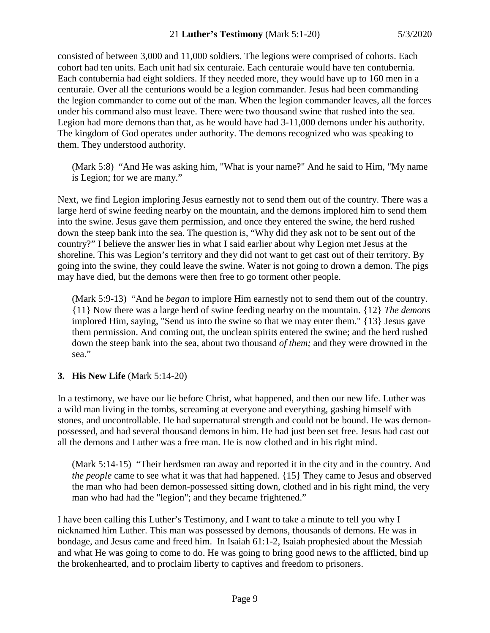consisted of between 3,000 and 11,000 soldiers. The legions were comprised of cohorts. Each cohort had ten units. Each unit had six centuraie. Each centuraie would have ten contubernia. Each contubernia had eight soldiers. If they needed more, they would have up to 160 men in a centuraie. Over all the centurions would be a legion commander. Jesus had been commanding the legion commander to come out of the man. When the legion commander leaves, all the forces under his command also must leave. There were two thousand swine that rushed into the sea. Legion had more demons than that, as he would have had 3-11,000 demons under his authority. The kingdom of God operates under authority. The demons recognized who was speaking to them. They understood authority.

(Mark 5:8) "And He was asking him, "What is your name?" And he said to Him, "My name is Legion; for we are many."

Next, we find Legion imploring Jesus earnestly not to send them out of the country. There was a large herd of swine feeding nearby on the mountain, and the demons implored him to send them into the swine. Jesus gave them permission, and once they entered the swine, the herd rushed down the steep bank into the sea. The question is, "Why did they ask not to be sent out of the country?" I believe the answer lies in what I said earlier about why Legion met Jesus at the shoreline. This was Legion's territory and they did not want to get cast out of their territory. By going into the swine, they could leave the swine. Water is not going to drown a demon. The pigs may have died, but the demons were then free to go torment other people.

(Mark 5:9-13) "And he *began* to implore Him earnestly not to send them out of the country. {11} Now there was a large herd of swine feeding nearby on the mountain. {12} *The demons* implored Him, saying, "Send us into the swine so that we may enter them." {13} Jesus gave them permission. And coming out, the unclean spirits entered the swine; and the herd rushed down the steep bank into the sea, about two thousand *of them;* and they were drowned in the sea."

# **3. His New Life** (Mark 5:14-20)

In a testimony, we have our lie before Christ, what happened, and then our new life. Luther was a wild man living in the tombs, screaming at everyone and everything, gashing himself with stones, and uncontrollable. He had supernatural strength and could not be bound. He was demonpossessed, and had several thousand demons in him. He had just been set free. Jesus had cast out all the demons and Luther was a free man. He is now clothed and in his right mind.

(Mark 5:14-15) "Their herdsmen ran away and reported it in the city and in the country. And *the people* came to see what it was that had happened. {15} They came to Jesus and observed the man who had been demon-possessed sitting down, clothed and in his right mind, the very man who had had the "legion"; and they became frightened."

I have been calling this Luther's Testimony, and I want to take a minute to tell you why I nicknamed him Luther. This man was possessed by demons, thousands of demons. He was in bondage, and Jesus came and freed him. In Isaiah 61:1-2, Isaiah prophesied about the Messiah and what He was going to come to do. He was going to bring good news to the afflicted, bind up the brokenhearted, and to proclaim liberty to captives and freedom to prisoners.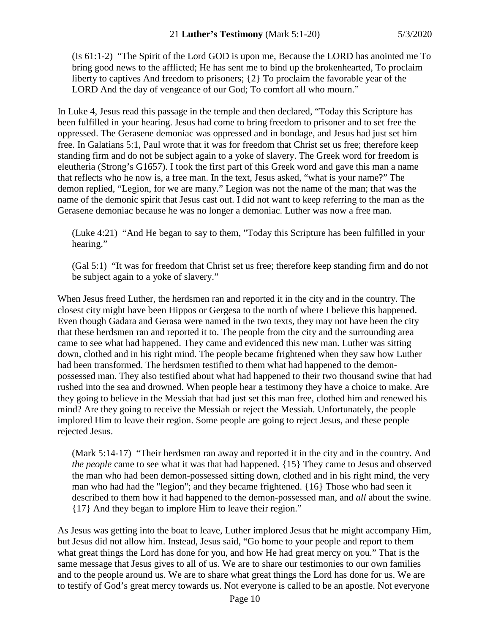(Is 61:1-2) "The Spirit of the Lord GOD is upon me, Because the LORD has anointed me To bring good news to the afflicted; He has sent me to bind up the brokenhearted, To proclaim liberty to captives And freedom to prisoners; {2} To proclaim the favorable year of the LORD And the day of vengeance of our God; To comfort all who mourn."

In Luke 4, Jesus read this passage in the temple and then declared, "Today this Scripture has been fulfilled in your hearing. Jesus had come to bring freedom to prisoner and to set free the oppressed. The Gerasene demoniac was oppressed and in bondage, and Jesus had just set him free. In Galatians 5:1, Paul wrote that it was for freedom that Christ set us free; therefore keep standing firm and do not be subject again to a yoke of slavery. The Greek word for freedom is eleutheria (Strong's G1657). I took the first part of this Greek word and gave this man a name that reflects who he now is, a free man. In the text, Jesus asked, "what is your name?" The demon replied, "Legion, for we are many." Legion was not the name of the man; that was the name of the demonic spirit that Jesus cast out. I did not want to keep referring to the man as the Gerasene demoniac because he was no longer a demoniac. Luther was now a free man.

(Luke 4:21) "And He began to say to them, "Today this Scripture has been fulfilled in your hearing."

(Gal 5:1) "It was for freedom that Christ set us free; therefore keep standing firm and do not be subject again to a yoke of slavery."

When Jesus freed Luther, the herdsmen ran and reported it in the city and in the country. The closest city might have been Hippos or Gergesa to the north of where I believe this happened. Even though Gadara and Gerasa were named in the two texts, they may not have been the city that these herdsmen ran and reported it to. The people from the city and the surrounding area came to see what had happened. They came and evidenced this new man. Luther was sitting down, clothed and in his right mind. The people became frightened when they saw how Luther had been transformed. The herdsmen testified to them what had happened to the demonpossessed man. They also testified about what had happened to their two thousand swine that had rushed into the sea and drowned. When people hear a testimony they have a choice to make. Are they going to believe in the Messiah that had just set this man free, clothed him and renewed his mind? Are they going to receive the Messiah or reject the Messiah. Unfortunately, the people implored Him to leave their region. Some people are going to reject Jesus, and these people rejected Jesus.

(Mark 5:14-17) "Their herdsmen ran away and reported it in the city and in the country. And *the people* came to see what it was that had happened. {15} They came to Jesus and observed the man who had been demon-possessed sitting down, clothed and in his right mind, the very man who had had the "legion"; and they became frightened. {16} Those who had seen it described to them how it had happened to the demon-possessed man, and *all* about the swine. {17} And they began to implore Him to leave their region."

As Jesus was getting into the boat to leave, Luther implored Jesus that he might accompany Him, but Jesus did not allow him. Instead, Jesus said, "Go home to your people and report to them what great things the Lord has done for you, and how He had great mercy on you." That is the same message that Jesus gives to all of us. We are to share our testimonies to our own families and to the people around us. We are to share what great things the Lord has done for us. We are to testify of God's great mercy towards us. Not everyone is called to be an apostle. Not everyone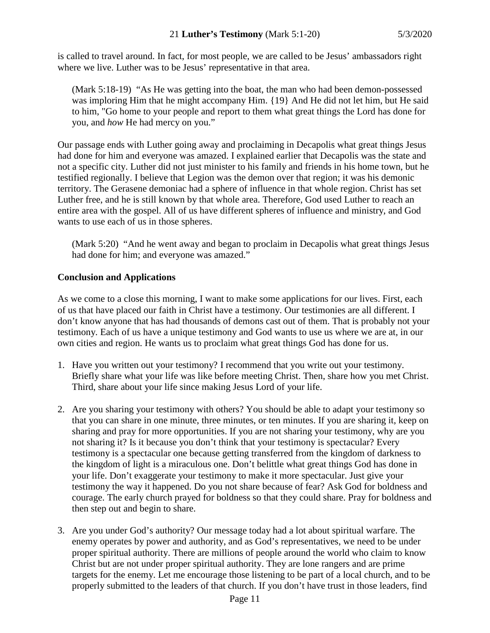is called to travel around. In fact, for most people, we are called to be Jesus' ambassadors right where we live. Luther was to be Jesus' representative in that area.

(Mark 5:18-19) "As He was getting into the boat, the man who had been demon-possessed was imploring Him that he might accompany Him. {19} And He did not let him, but He said to him, "Go home to your people and report to them what great things the Lord has done for you, and *how* He had mercy on you."

Our passage ends with Luther going away and proclaiming in Decapolis what great things Jesus had done for him and everyone was amazed. I explained earlier that Decapolis was the state and not a specific city. Luther did not just minister to his family and friends in his home town, but he testified regionally. I believe that Legion was the demon over that region; it was his demonic territory. The Gerasene demoniac had a sphere of influence in that whole region. Christ has set Luther free, and he is still known by that whole area. Therefore, God used Luther to reach an entire area with the gospel. All of us have different spheres of influence and ministry, and God wants to use each of us in those spheres.

(Mark 5:20) "And he went away and began to proclaim in Decapolis what great things Jesus had done for him; and everyone was amazed."

# **Conclusion and Applications**

As we come to a close this morning, I want to make some applications for our lives. First, each of us that have placed our faith in Christ have a testimony. Our testimonies are all different. I don't know anyone that has had thousands of demons cast out of them. That is probably not your testimony. Each of us have a unique testimony and God wants to use us where we are at, in our own cities and region. He wants us to proclaim what great things God has done for us.

- 1. Have you written out your testimony? I recommend that you write out your testimony. Briefly share what your life was like before meeting Christ. Then, share how you met Christ. Third, share about your life since making Jesus Lord of your life.
- 2. Are you sharing your testimony with others? You should be able to adapt your testimony so that you can share in one minute, three minutes, or ten minutes. If you are sharing it, keep on sharing and pray for more opportunities. If you are not sharing your testimony, why are you not sharing it? Is it because you don't think that your testimony is spectacular? Every testimony is a spectacular one because getting transferred from the kingdom of darkness to the kingdom of light is a miraculous one. Don't belittle what great things God has done in your life. Don't exaggerate your testimony to make it more spectacular. Just give your testimony the way it happened. Do you not share because of fear? Ask God for boldness and courage. The early church prayed for boldness so that they could share. Pray for boldness and then step out and begin to share.
- 3. Are you under God's authority? Our message today had a lot about spiritual warfare. The enemy operates by power and authority, and as God's representatives, we need to be under proper spiritual authority. There are millions of people around the world who claim to know Christ but are not under proper spiritual authority. They are lone rangers and are prime targets for the enemy. Let me encourage those listening to be part of a local church, and to be properly submitted to the leaders of that church. If you don't have trust in those leaders, find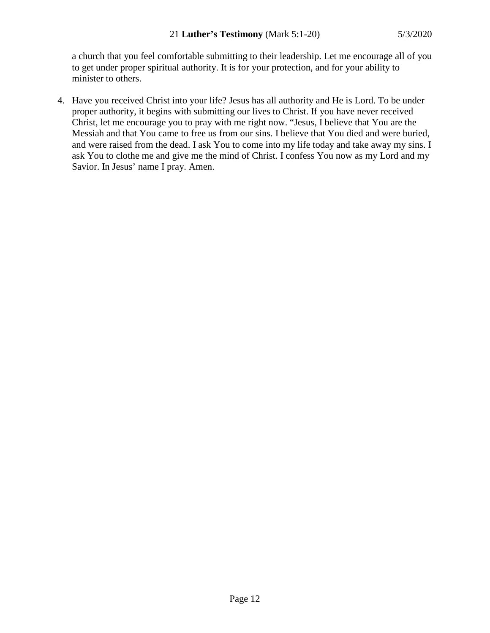a church that you feel comfortable submitting to their leadership. Let me encourage all of you to get under proper spiritual authority. It is for your protection, and for your ability to minister to others.

4. Have you received Christ into your life? Jesus has all authority and He is Lord. To be under proper authority, it begins with submitting our lives to Christ. If you have never received Christ, let me encourage you to pray with me right now. "Jesus, I believe that You are the Messiah and that You came to free us from our sins. I believe that You died and were buried, and were raised from the dead. I ask You to come into my life today and take away my sins. I ask You to clothe me and give me the mind of Christ. I confess You now as my Lord and my Savior. In Jesus' name I pray. Amen.